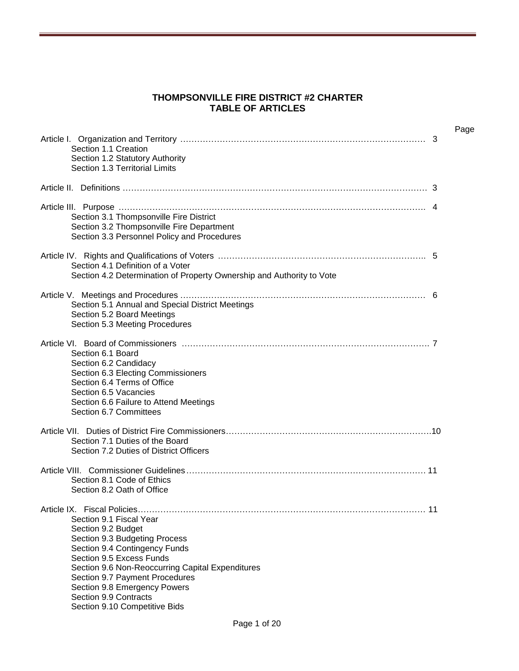#### **THOMPSONVILLE FIRE DISTRICT #2 CHARTER TABLE OF ARTICLES**

| Section 1.1 Creation<br>Section 1.2 Statutory Authority<br>Section 1.3 Territorial Limits                                                                                                                                                                                                                                   | Page<br>3 |
|-----------------------------------------------------------------------------------------------------------------------------------------------------------------------------------------------------------------------------------------------------------------------------------------------------------------------------|-----------|
|                                                                                                                                                                                                                                                                                                                             |           |
| Section 3.1 Thompsonville Fire District<br>Section 3.2 Thompsonville Fire Department<br>Section 3.3 Personnel Policy and Procedures                                                                                                                                                                                         |           |
| Section 4.1 Definition of a Voter<br>Section 4.2 Determination of Property Ownership and Authority to Vote                                                                                                                                                                                                                  |           |
| Section 5.1 Annual and Special District Meetings<br>Section 5.2 Board Meetings<br>Section 5.3 Meeting Procedures                                                                                                                                                                                                            |           |
| Section 6.1 Board<br>Section 6.2 Candidacy<br>Section 6.3 Electing Commissioners<br>Section 6.4 Terms of Office<br>Section 6.5 Vacancies<br>Section 6.6 Failure to Attend Meetings<br>Section 6.7 Committees                                                                                                                |           |
| Section 7.1 Duties of the Board<br>Section 7.2 Duties of District Officers                                                                                                                                                                                                                                                  |           |
| Section 8.1 Code of Ethics<br>Section 8.2 Oath of Office                                                                                                                                                                                                                                                                    |           |
| Section 9.1 Fiscal Year<br>Section 9.2 Budget<br>Section 9.3 Budgeting Process<br>Section 9.4 Contingency Funds<br>Section 9.5 Excess Funds<br>Section 9.6 Non-Reoccurring Capital Expenditures<br>Section 9.7 Payment Procedures<br>Section 9.8 Emergency Powers<br>Section 9.9 Contracts<br>Section 9.10 Competitive Bids |           |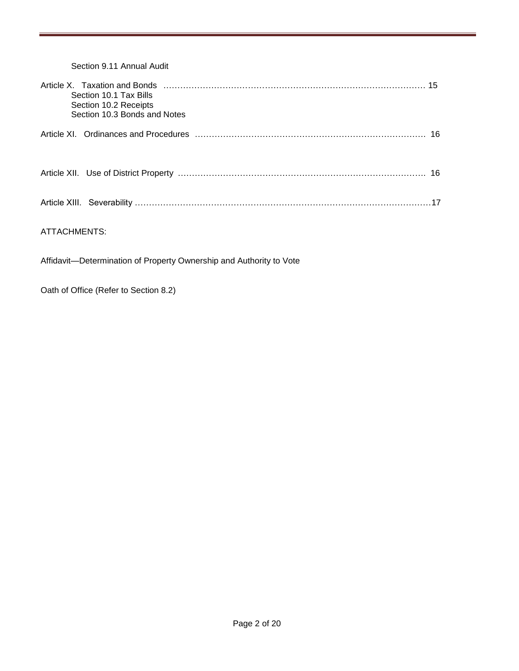| Section 9.11 Annual Audit                                                       |  |
|---------------------------------------------------------------------------------|--|
| Section 10.1 Tax Bills<br>Section 10.2 Receipts<br>Section 10.3 Bonds and Notes |  |
|                                                                                 |  |
|                                                                                 |  |
|                                                                                 |  |
| ATTACHMENTS:                                                                    |  |

Affidavit—Determination of Property Ownership and Authority to Vote

Oath of Office (Refer to Section 8.2)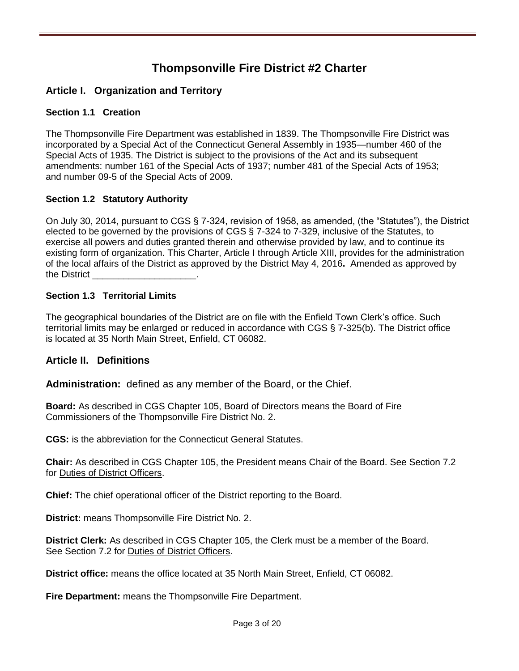## **Thompsonville Fire District #2 Charter**

## **Article I. Organization and Territory**

## **Section 1.1 Creation**

The Thompsonville Fire Department was established in 1839. The Thompsonville Fire District was incorporated by a Special Act of the Connecticut General Assembly in 1935—number 460 of the Special Acts of 1935. The District is subject to the provisions of the Act and its subsequent amendments: number 161 of the Special Acts of 1937; number 481 of the Special Acts of 1953; and number 09-5 of the Special Acts of 2009.

## **Section 1.2 Statutory Authority**

On July 30, 2014, pursuant to CGS § 7-324, revision of 1958, as amended, (the "Statutes"), the District elected to be governed by the provisions of CGS § 7-324 to 7-329, inclusive of the Statutes, to exercise all powers and duties granted therein and otherwise provided by law, and to continue its existing form of organization. This Charter, Article I through Article XIII, provides for the administration of the local affairs of the District as approved by the District May 4, 2016**.** Amended as approved by the District

## **Section 1.3 Territorial Limits**

The geographical boundaries of the District are on file with the Enfield Town Clerk's office. Such territorial limits may be enlarged or reduced in accordance with CGS § 7-325(b). The District office is located at 35 North Main Street, Enfield, CT 06082.

## **Article II. Definitions**

**Administration:** defined as any member of the Board, or the Chief.

**Board:** As described in CGS Chapter 105, Board of Directors means the Board of Fire Commissioners of the Thompsonville Fire District No. 2.

**CGS:** is the abbreviation for the Connecticut General Statutes.

**Chair:** As described in CGS Chapter 105, the President means Chair of the Board. See Section 7.2 for Duties of District Officers.

**Chief:** The chief operational officer of the District reporting to the Board.

**District:** means Thompsonville Fire District No. 2.

**District Clerk:** As described in CGS Chapter 105, the Clerk must be a member of the Board. See Section 7.2 for Duties of District Officers.

**District office:** means the office located at 35 North Main Street, Enfield, CT 06082.

**Fire Department:** means the Thompsonville Fire Department.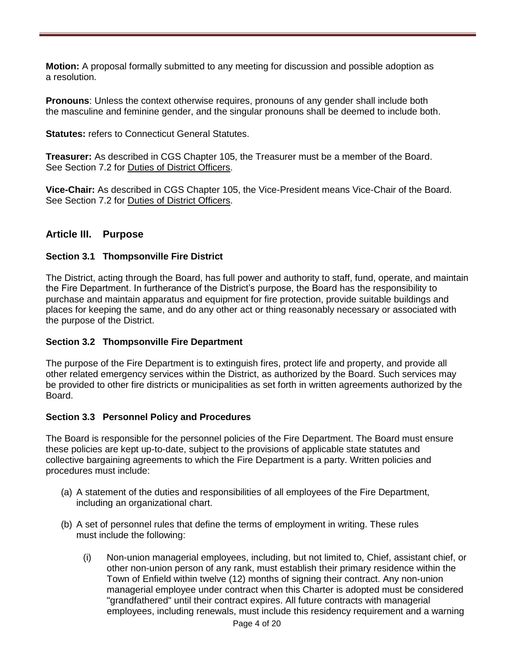**Motion:** A proposal formally submitted to any meeting for discussion and possible adoption as a resolution.

**Pronouns**: Unless the context otherwise requires, pronouns of any gender shall include both the masculine and feminine gender, and the singular pronouns shall be deemed to include both.

**Statutes:** refers to Connecticut General Statutes.

**Treasurer:** As described in CGS Chapter 105, the Treasurer must be a member of the Board. See Section 7.2 for Duties of District Officers.

**Vice-Chair:** As described in CGS Chapter 105, the Vice-President means Vice-Chair of the Board. See Section 7.2 for Duties of District Officers.

## **Article III. Purpose**

## **Section 3.1 Thompsonville Fire District**

The District, acting through the Board, has full power and authority to staff, fund, operate, and maintain the Fire Department. In furtherance of the District's purpose, the Board has the responsibility to purchase and maintain apparatus and equipment for fire protection, provide suitable buildings and places for keeping the same, and do any other act or thing reasonably necessary or associated with the purpose of the District.

## **Section 3.2 Thompsonville Fire Department**

The purpose of the Fire Department is to extinguish fires, protect life and property, and provide all other related emergency services within the District, as authorized by the Board. Such services may be provided to other fire districts or municipalities as set forth in written agreements authorized by the Board.

#### **Section 3.3 Personnel Policy and Procedures**

The Board is responsible for the personnel policies of the Fire Department. The Board must ensure these policies are kept up-to-date, subject to the provisions of applicable state statutes and collective bargaining agreements to which the Fire Department is a party. Written policies and procedures must include:

- (a) A statement of the duties and responsibilities of all employees of the Fire Department, including an organizational chart.
- (b) A set of personnel rules that define the terms of employment in writing. These rules must include the following:
	- (i) Non-union managerial employees, including, but not limited to, Chief, assistant chief, or other non-union person of any rank, must establish their primary residence within the Town of Enfield within twelve (12) months of signing their contract. Any non-union managerial employee under contract when this Charter is adopted must be considered "grandfathered" until their contract expires. All future contracts with managerial employees, including renewals, must include this residency requirement and a warning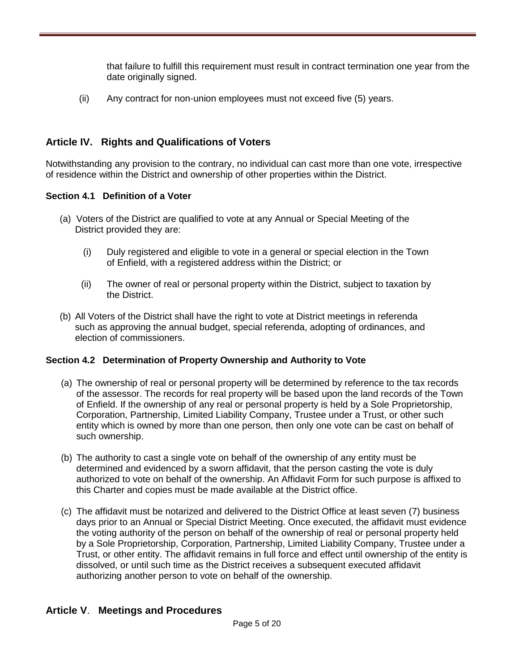that failure to fulfill this requirement must result in contract termination one year from the date originally signed.

(ii) Any contract for non-union employees must not exceed five (5) years.

## **Article IV. Rights and Qualifications of Voters**

Notwithstanding any provision to the contrary, no individual can cast more than one vote, irrespective of residence within the District and ownership of other properties within the District.

## **Section 4.1 Definition of a Voter**

- (a) Voters of the District are qualified to vote at any Annual or Special Meeting of the District provided they are:
	- (i) Duly registered and eligible to vote in a general or special election in the Town of Enfield, with a registered address within the District; or
	- (ii) The owner of real or personal property within the District, subject to taxation by the District.
- (b) All Voters of the District shall have the right to vote at District meetings in referenda such as approving the annual budget, special referenda, adopting of ordinances, and election of commissioners.

## **Section 4.2 Determination of Property Ownership and Authority to Vote**

- (a) The ownership of real or personal property will be determined by reference to the tax records of the assessor. The records for real property will be based upon the land records of the Town of Enfield. If the ownership of any real or personal property is held by a Sole Proprietorship, Corporation, Partnership, Limited Liability Company, Trustee under a Trust, or other such entity which is owned by more than one person, then only one vote can be cast on behalf of such ownership.
- (b) The authority to cast a single vote on behalf of the ownership of any entity must be determined and evidenced by a sworn affidavit, that the person casting the vote is duly authorized to vote on behalf of the ownership. An Affidavit Form for such purpose is affixed to this Charter and copies must be made available at the District office.
- (c) The affidavit must be notarized and delivered to the District Office at least seven (7) business days prior to an Annual or Special District Meeting. Once executed, the affidavit must evidence the voting authority of the person on behalf of the ownership of real or personal property held by a Sole Proprietorship, Corporation, Partnership, Limited Liability Company, Trustee under a Trust, or other entity. The affidavit remains in full force and effect until ownership of the entity is dissolved, or until such time as the District receives a subsequent executed affidavit authorizing another person to vote on behalf of the ownership.

## **Article V**. **Meetings and Procedures**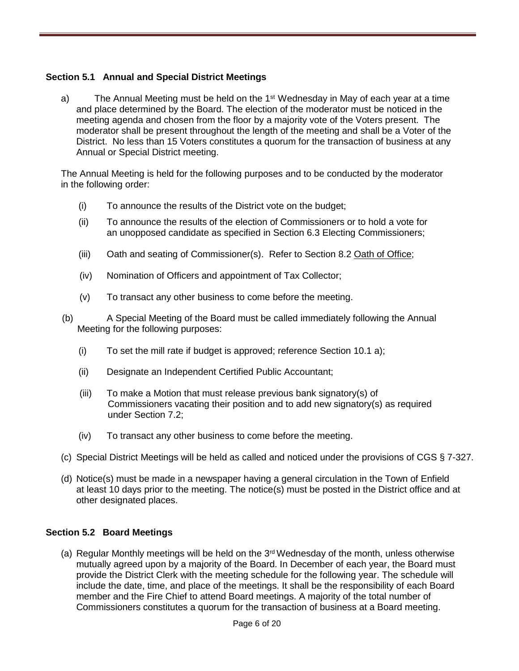## **Section 5.1 Annual and Special District Meetings**

a) The Annual Meeting must be held on the 1<sup>st</sup> Wednesday in May of each year at a time and place determined by the Board. The election of the moderator must be noticed in the meeting agenda and chosen from the floor by a majority vote of the Voters present. The moderator shall be present throughout the length of the meeting and shall be a Voter of the District. No less than 15 Voters constitutes a quorum for the transaction of business at any Annual or Special District meeting.

The Annual Meeting is held for the following purposes and to be conducted by the moderator in the following order:

- (i) To announce the results of the District vote on the budget;
- (ii) To announce the results of the election of Commissioners or to hold a vote for an unopposed candidate as specified in Section 6.3 Electing Commissioners;
- (iii) Oath and seating of Commissioner(s). Refer to Section 8.2 Oath of Office;
- (iv) Nomination of Officers and appointment of Tax Collector;
- (v) To transact any other business to come before the meeting.
- (b) A Special Meeting of the Board must be called immediately following the Annual Meeting for the following purposes:
	- (i) To set the mill rate if budget is approved; reference Section 10.1 a);
	- (ii) Designate an Independent Certified Public Accountant;
	- (iii) To make a Motion that must release previous bank signatory(s) of Commissioners vacating their position and to add new signatory(s) as required under Section 7.2;
	- (iv) To transact any other business to come before the meeting.
- (c) Special District Meetings will be held as called and noticed under the provisions of CGS § 7-327.
- (d) Notice(s) must be made in a newspaper having a general circulation in the Town of Enfield at least 10 days prior to the meeting. The notice(s) must be posted in the District office and at other designated places.

#### **Section 5.2 Board Meetings**

(a) Regular Monthly meetings will be held on the  $3<sup>rd</sup>$  Wednesday of the month, unless otherwise mutually agreed upon by a majority of the Board. In December of each year, the Board must provide the District Clerk with the meeting schedule for the following year. The schedule will include the date, time, and place of the meetings. It shall be the responsibility of each Board member and the Fire Chief to attend Board meetings. A majority of the total number of Commissioners constitutes a quorum for the transaction of business at a Board meeting.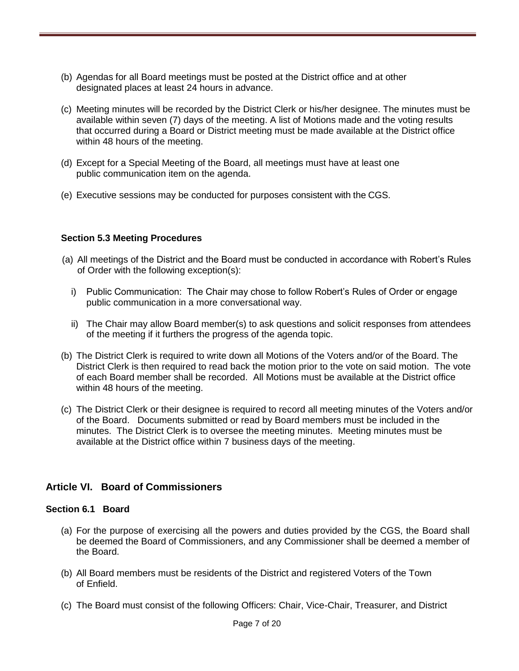- (b) Agendas for all Board meetings must be posted at the District office and at other designated places at least 24 hours in advance.
- (c) Meeting minutes will be recorded by the District Clerk or his/her designee. The minutes must be available within seven (7) days of the meeting. A list of Motions made and the voting results that occurred during a Board or District meeting must be made available at the District office within 48 hours of the meeting.
- (d) Except for a Special Meeting of the Board, all meetings must have at least one public communication item on the agenda.
- (e) Executive sessions may be conducted for purposes consistent with the CGS.

#### **Section 5.3 Meeting Procedures**

- (a) All meetings of the District and the Board must be conducted in accordance with Robert's Rules of Order with the following exception(s):
	- i) Public Communication: The Chair may chose to follow Robert's Rules of Order or engage public communication in a more conversational way.
	- ii) The Chair may allow Board member(s) to ask questions and solicit responses from attendees of the meeting if it furthers the progress of the agenda topic.
- (b) The District Clerk is required to write down all Motions of the Voters and/or of the Board. The District Clerk is then required to read back the motion prior to the vote on said motion. The vote of each Board member shall be recorded. All Motions must be available at the District office within 48 hours of the meeting.
- (c) The District Clerk or their designee is required to record all meeting minutes of the Voters and/or of the Board. Documents submitted or read by Board members must be included in the minutes. The District Clerk is to oversee the meeting minutes.Meeting minutes must be available at the District office within 7 business days of the meeting.

## **Article VI. Board of Commissioners**

#### **Section 6.1 Board**

- (a) For the purpose of exercising all the powers and duties provided by the CGS, the Board shall be deemed the Board of Commissioners, and any Commissioner shall be deemed a member of the Board.
- (b) All Board members must be residents of the District and registered Voters of the Town of Enfield.
- (c) The Board must consist of the following Officers: Chair, Vice-Chair, Treasurer, and District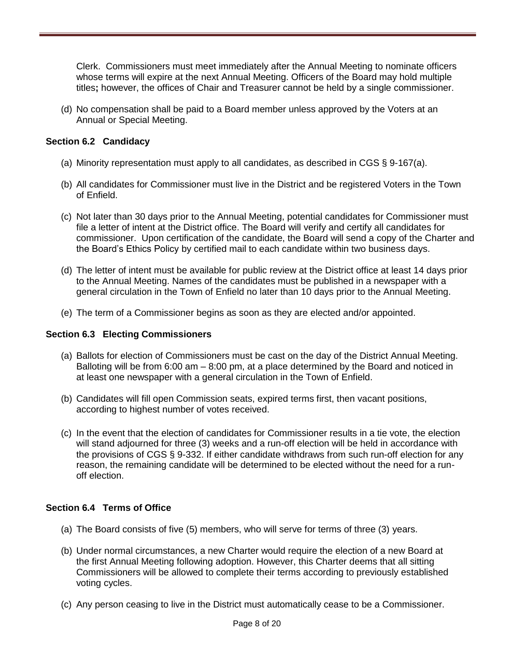Clerk. Commissioners must meet immediately after the Annual Meeting to nominate officers whose terms will expire at the next Annual Meeting. Officers of the Board may hold multiple titles**;** however, the offices of Chair and Treasurer cannot be held by a single commissioner.

(d) No compensation shall be paid to a Board member unless approved by the Voters at an Annual or Special Meeting.

## **Section 6.2 Candidacy**

- (a) Minority representation must apply to all candidates, as described in CGS § 9-167(a).
- (b) All candidates for Commissioner must live in the District and be registered Voters in the Town of Enfield.
- (c) Not later than 30 days prior to the Annual Meeting, potential candidates for Commissioner must file a letter of intent at the District office. The Board will verify and certify all candidates for commissioner. Upon certification of the candidate, the Board will send a copy of the Charter and the Board's Ethics Policy by certified mail to each candidate within two business days.
- (d) The letter of intent must be available for public review at the District office at least 14 days prior to the Annual Meeting. Names of the candidates must be published in a newspaper with a general circulation in the Town of Enfield no later than 10 days prior to the Annual Meeting.
- (e) The term of a Commissioner begins as soon as they are elected and/or appointed.

#### **Section 6.3 Electing Commissioners**

- (a) Ballots for election of Commissioners must be cast on the day of the District Annual Meeting. Balloting will be from 6:00 am – 8:00 pm, at a place determined by the Board and noticed in at least one newspaper with a general circulation in the Town of Enfield.
- (b) Candidates will fill open Commission seats, expired terms first, then vacant positions, according to highest number of votes received.
- (c) In the event that the election of candidates for Commissioner results in a tie vote, the election will stand adjourned for three (3) weeks and a run-off election will be held in accordance with the provisions of CGS § 9-332. If either candidate withdraws from such run-off election for any reason, the remaining candidate will be determined to be elected without the need for a runoff election.

#### **Section 6.4 Terms of Office**

- (a) The Board consists of five (5) members, who will serve for terms of three (3) years.
- (b) Under normal circumstances, a new Charter would require the election of a new Board at the first Annual Meeting following adoption. However, this Charter deems that all sitting Commissioners will be allowed to complete their terms according to previously established voting cycles.
- (c) Any person ceasing to live in the District must automatically cease to be a Commissioner.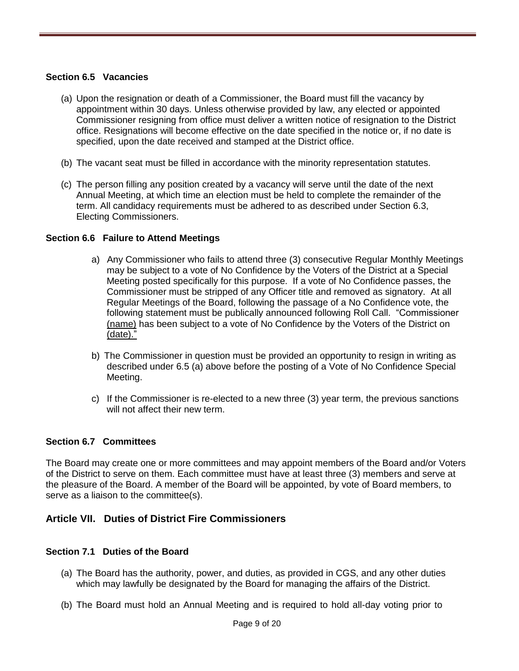#### **Section 6.5 Vacancies**

- (a) Upon the resignation or death of a Commissioner, the Board must fill the vacancy by appointment within 30 days. Unless otherwise provided by law, any elected or appointed Commissioner resigning from office must deliver a written notice of resignation to the District office. Resignations will become effective on the date specified in the notice or, if no date is specified, upon the date received and stamped at the District office.
- (b) The vacant seat must be filled in accordance with the minority representation statutes.
- (c) The person filling any position created by a vacancy will serve until the date of the next Annual Meeting, at which time an election must be held to complete the remainder of the term. All candidacy requirements must be adhered to as described under Section 6.3, Electing Commissioners.

#### **Section 6.6 Failure to Attend Meetings**

- a) Any Commissioner who fails to attend three (3) consecutive Regular Monthly Meetings may be subject to a vote of No Confidence by the Voters of the District at a Special Meeting posted specifically for this purpose. If a vote of No Confidence passes, the Commissioner must be stripped of any Officer title and removed as signatory. At all Regular Meetings of the Board, following the passage of a No Confidence vote, the following statement must be publically announced following Roll Call. "Commissioner (name) has been subject to a vote of No Confidence by the Voters of the District on (date)."
- b) The Commissioner in question must be provided an opportunity to resign in writing as described under 6.5 (a) above before the posting of a Vote of No Confidence Special Meeting.
- c) If the Commissioner is re-elected to a new three (3) year term, the previous sanctions will not affect their new term.

#### **Section 6.7 Committees**

The Board may create one or more committees and may appoint members of the Board and/or Voters of the District to serve on them. Each committee must have at least three (3) members and serve at the pleasure of the Board. A member of the Board will be appointed, by vote of Board members, to serve as a liaison to the committee(s).

## **Article VII. Duties of District Fire Commissioners**

#### **Section 7.1 Duties of the Board**

- (a) The Board has the authority, power, and duties, as provided in CGS, and any other duties which may lawfully be designated by the Board for managing the affairs of the District.
- (b) The Board must hold an Annual Meeting and is required to hold all-day voting prior to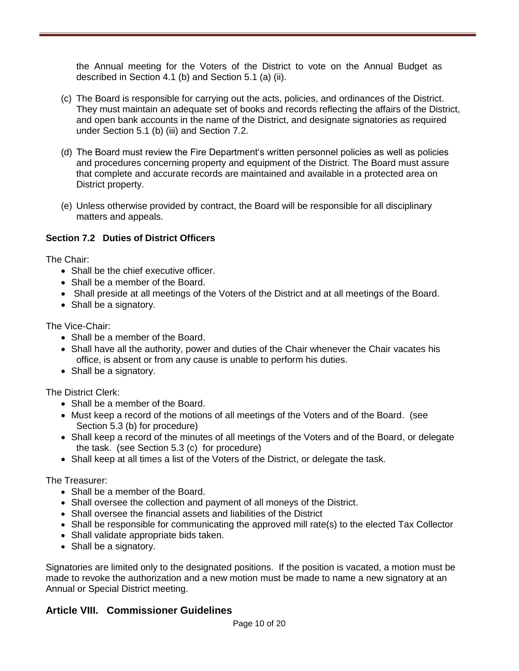the Annual meeting for the Voters of the District to vote on the Annual Budget as described in Section 4.1 (b) and Section 5.1 (a) (ii).

- (c) The Board is responsible for carrying out the acts, policies, and ordinances of the District. They must maintain an adequate set of books and records reflecting the affairs of the District, and open bank accounts in the name of the District, and designate signatories as required under Section 5.1 (b) (iii) and Section 7.2.
- (d) The Board must review the Fire Department's written personnel policies as well as policies and procedures concerning property and equipment of the District. The Board must assure that complete and accurate records are maintained and available in a protected area on District property.
- (e) Unless otherwise provided by contract, the Board will be responsible for all disciplinary matters and appeals.

## **Section 7.2 Duties of District Officers**

The Chair:

- Shall be the chief executive officer.
- Shall be a member of the Board.
- Shall preside at all meetings of the Voters of the District and at all meetings of the Board.
- Shall be a signatory.

The Vice-Chair:

- Shall be a member of the Board.
- Shall have all the authority, power and duties of the Chair whenever the Chair vacates his office, is absent or from any cause is unable to perform his duties.
- Shall be a signatory.

The District Clerk:

- Shall be a member of the Board.
- Must keep a record of the motions of all meetings of the Voters and of the Board. (see Section 5.3 (b) for procedure)
- Shall keep a record of the minutes of all meetings of the Voters and of the Board, or delegate the task. (see Section 5.3 (c) for procedure)
- Shall keep at all times a list of the Voters of the District, or delegate the task.

The Treasurer:

- Shall be a member of the Board.
- Shall oversee the collection and payment of all moneys of the District.
- Shall oversee the financial assets and liabilities of the District
- Shall be responsible for communicating the approved mill rate(s) to the elected Tax Collector
- Shall validate appropriate bids taken.
- Shall be a signatory.

Signatories are limited only to the designated positions. If the position is vacated, a motion must be made to revoke the authorization and a new motion must be made to name a new signatory at an Annual or Special District meeting.

## **Article VIII. Commissioner Guidelines**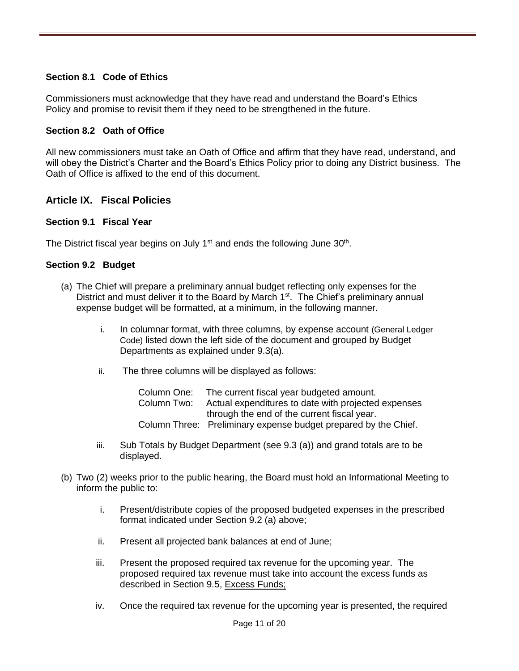## **Section 8.1 Code of Ethics**

Commissioners must acknowledge that they have read and understand the Board's Ethics Policy and promise to revisit them if they need to be strengthened in the future.

#### **Section 8.2 Oath of Office**

All new commissioners must take an Oath of Office and affirm that they have read, understand, and will obey the District's Charter and the Board's Ethics Policy prior to doing any District business. The Oath of Office is affixed to the end of this document.

## **Article IX. Fiscal Policies**

#### **Section 9.1 Fiscal Year**

The District fiscal year begins on July 1<sup>st</sup> and ends the following June  $30<sup>th</sup>$ .

#### **Section 9.2 Budget**

- (a) The Chief will prepare a preliminary annual budget reflecting only expenses for the District and must deliver it to the Board by March  $1<sup>st</sup>$ . The Chief's preliminary annual expense budget will be formatted, at a minimum, in the following manner.
	- i. In columnar format, with three columns, by expense account (General Ledger Code) listed down the left side of the document and grouped by Budget Departments as explained under 9.3(a).
	- ii. The three columns will be displayed as follows:

| Column One: | The current fiscal year budgeted amount.                        |
|-------------|-----------------------------------------------------------------|
| Column Two: | Actual expenditures to date with projected expenses             |
|             | through the end of the current fiscal year.                     |
|             | Column Three: Preliminary expense budget prepared by the Chief. |

- iii. Sub Totals by Budget Department (see 9.3 (a)) and grand totals are to be displayed.
- (b) Two (2) weeks prior to the public hearing, the Board must hold an Informational Meeting to inform the public to:
	- i. Present/distribute copies of the proposed budgeted expenses in the prescribed format indicated under Section 9.2 (a) above;
	- ii. Present all projected bank balances at end of June;
	- iii. Present the proposed required tax revenue for the upcoming year. The proposed required tax revenue must take into account the excess funds as described in Section 9.5, Excess Funds;
	- iv. Once the required tax revenue for the upcoming year is presented, the required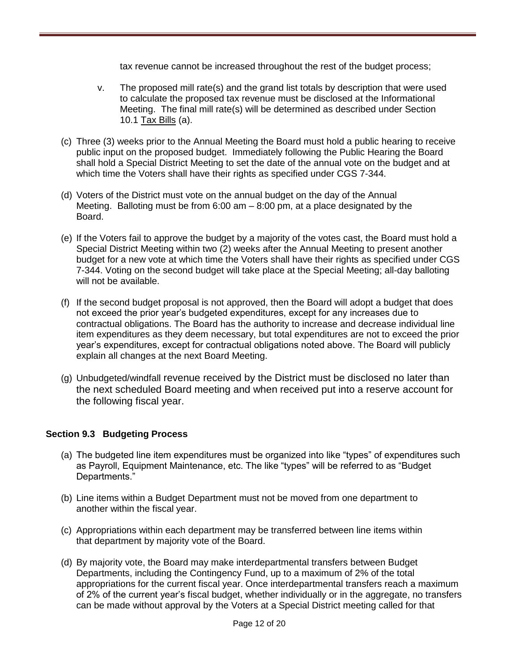tax revenue cannot be increased throughout the rest of the budget process;

- v. The proposed mill rate(s) and the grand list totals by description that were used to calculate the proposed tax revenue must be disclosed at the Informational Meeting. The final mill rate(s) will be determined as described under Section 10.1 Tax Bills (a).
- (c) Three (3) weeks prior to the Annual Meeting the Board must hold a public hearing to receive public input on the proposed budget. Immediately following the Public Hearing the Board shall hold a Special District Meeting to set the date of the annual vote on the budget and at which time the Voters shall have their rights as specified under CGS 7-344.
- (d) Voters of the District must vote on the annual budget on the day of the Annual Meeting. Balloting must be from  $6:00 \text{ am} - 8:00 \text{ pm}$ , at a place designated by the Board.
- (e) If the Voters fail to approve the budget by a majority of the votes cast, the Board must hold a Special District Meeting within two (2) weeks after the Annual Meeting to present another budget for a new vote at which time the Voters shall have their rights as specified under CGS 7-344. Voting on the second budget will take place at the Special Meeting; all-day balloting will not be available.
- (f) If the second budget proposal is not approved, then the Board will adopt a budget that does not exceed the prior year's budgeted expenditures, except for any increases due to contractual obligations. The Board has the authority to increase and decrease individual line item expenditures as they deem necessary, but total expenditures are not to exceed the prior year's expenditures, except for contractual obligations noted above. The Board will publicly explain all changes at the next Board Meeting.
- (g) Unbudgeted/windfall revenue received by the District must be disclosed no later than the next scheduled Board meeting and when received put into a reserve account for the following fiscal year.

## **Section 9.3 Budgeting Process**

- (a) The budgeted line item expenditures must be organized into like "types" of expenditures such as Payroll, Equipment Maintenance, etc. The like "types" will be referred to as "Budget Departments."
- (b) Line items within a Budget Department must not be moved from one department to another within the fiscal year.
- (c) Appropriations within each department may be transferred between line items within that department by majority vote of the Board.
- (d) By majority vote, the Board may make interdepartmental transfers between Budget Departments, including the Contingency Fund, up to a maximum of 2% of the total appropriations for the current fiscal year. Once interdepartmental transfers reach a maximum of 2% of the current year's fiscal budget, whether individually or in the aggregate, no transfers can be made without approval by the Voters at a Special District meeting called for that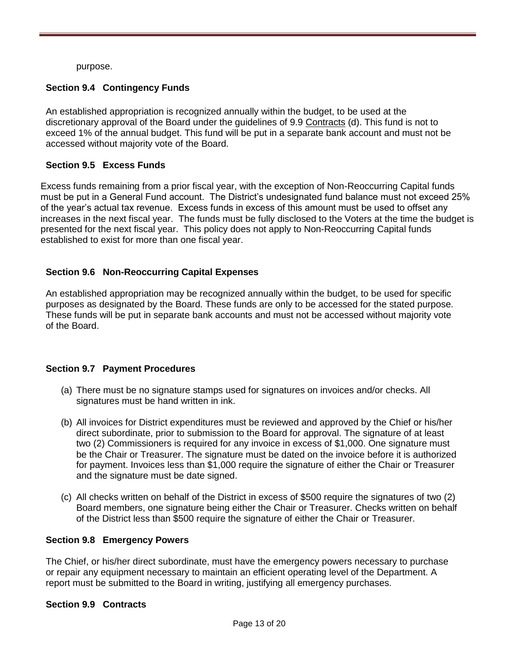purpose.

## **Section 9.4 Contingency Funds**

An established appropriation is recognized annually within the budget, to be used at the discretionary approval of the Board under the guidelines of 9.9 Contracts (d). This fund is not to exceed 1% of the annual budget. This fund will be put in a separate bank account and must not be accessed without majority vote of the Board.

#### **Section 9.5 Excess Funds**

Excess funds remaining from a prior fiscal year, with the exception of Non-Reoccurring Capital funds must be put in a General Fund account. The District's undesignated fund balance must not exceed 25% of the year's actual tax revenue. Excess funds in excess of this amount must be used to offset any increases in the next fiscal year. The funds must be fully disclosed to the Voters at the time the budget is presented for the next fiscal year. This policy does not apply to Non-Reoccurring Capital funds established to exist for more than one fiscal year.

## **Section 9.6 Non-Reoccurring Capital Expenses**

An established appropriation may be recognized annually within the budget, to be used for specific purposes as designated by the Board. These funds are only to be accessed for the stated purpose. These funds will be put in separate bank accounts and must not be accessed without majority vote of the Board.

#### **Section 9.7 Payment Procedures**

- (a) There must be no signature stamps used for signatures on invoices and/or checks. All signatures must be hand written in ink.
- (b) All invoices for District expenditures must be reviewed and approved by the Chief or his/her direct subordinate, prior to submission to the Board for approval. The signature of at least two (2) Commissioners is required for any invoice in excess of \$1,000. One signature must be the Chair or Treasurer. The signature must be dated on the invoice before it is authorized for payment. Invoices less than \$1,000 require the signature of either the Chair or Treasurer and the signature must be date signed.
- (c) All checks written on behalf of the District in excess of \$500 require the signatures of two (2) Board members, one signature being either the Chair or Treasurer. Checks written on behalf of the District less than \$500 require the signature of either the Chair or Treasurer.

#### **Section 9.8 Emergency Powers**

The Chief, or his/her direct subordinate, must have the emergency powers necessary to purchase or repair any equipment necessary to maintain an efficient operating level of the Department. A report must be submitted to the Board in writing, justifying all emergency purchases.

#### **Section 9.9 Contracts**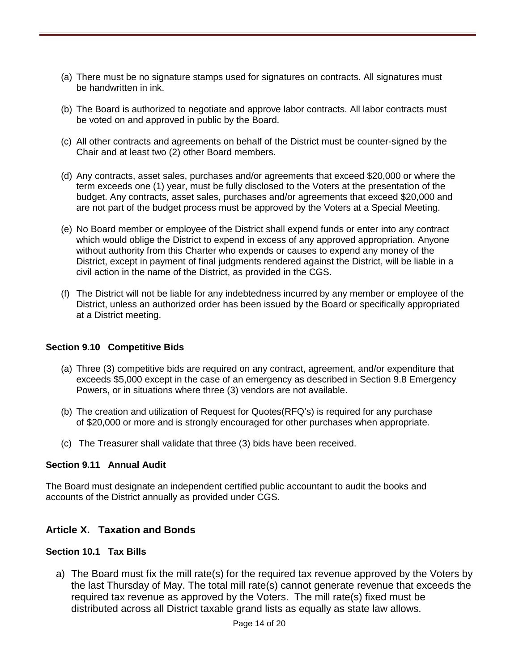- (a) There must be no signature stamps used for signatures on contracts. All signatures must be handwritten in ink.
- (b) The Board is authorized to negotiate and approve labor contracts. All labor contracts must be voted on and approved in public by the Board.
- (c) All other contracts and agreements on behalf of the District must be counter-signed by the Chair and at least two (2) other Board members.
- (d) Any contracts, asset sales, purchases and/or agreements that exceed \$20,000 or where the term exceeds one (1) year, must be fully disclosed to the Voters at the presentation of the budget. Any contracts, asset sales, purchases and/or agreements that exceed \$20,000 and are not part of the budget process must be approved by the Voters at a Special Meeting.
- (e) No Board member or employee of the District shall expend funds or enter into any contract which would oblige the District to expend in excess of any approved appropriation. Anyone without authority from this Charter who expends or causes to expend any money of the District, except in payment of final judgments rendered against the District, will be liable in a civil action in the name of the District, as provided in the CGS.
- (f) The District will not be liable for any indebtedness incurred by any member or employee of the District, unless an authorized order has been issued by the Board or specifically appropriated at a District meeting.

#### **Section 9.10 Competitive Bids**

- (a) Three (3) competitive bids are required on any contract, agreement, and/or expenditure that exceeds \$5,000 except in the case of an emergency as described in Section 9.8 Emergency Powers, or in situations where three (3) vendors are not available.
- (b) The creation and utilization of Request for Quotes(RFQ's) is required for any purchase of \$20,000 or more and is strongly encouraged for other purchases when appropriate.
- (c) The Treasurer shall validate that three (3) bids have been received.

#### **Section 9.11 Annual Audit**

The Board must designate an independent certified public accountant to audit the books and accounts of the District annually as provided under CGS.

## **Article X. Taxation and Bonds**

## **Section 10.1 Tax Bills**

a) The Board must fix the mill rate(s) for the required tax revenue approved by the Voters by the last Thursday of May. The total mill rate(s) cannot generate revenue that exceeds the required tax revenue as approved by the Voters. The mill rate(s) fixed must be distributed across all District taxable grand lists as equally as state law allows.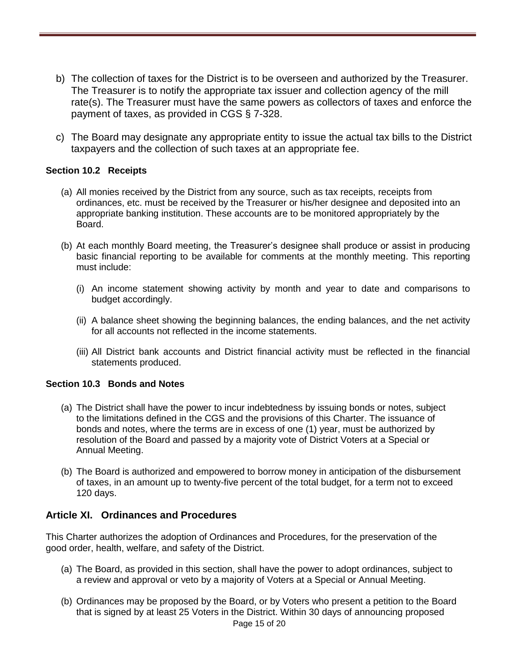- b) The collection of taxes for the District is to be overseen and authorized by the Treasurer. The Treasurer is to notify the appropriate tax issuer and collection agency of the mill rate(s). The Treasurer must have the same powers as collectors of taxes and enforce the payment of taxes, as provided in CGS § 7-328.
- c) The Board may designate any appropriate entity to issue the actual tax bills to the District taxpayers and the collection of such taxes at an appropriate fee.

## **Section 10.2 Receipts**

- (a) All monies received by the District from any source, such as tax receipts, receipts from ordinances, etc. must be received by the Treasurer or his/her designee and deposited into an appropriate banking institution. These accounts are to be monitored appropriately by the Board.
- (b) At each monthly Board meeting, the Treasurer's designee shall produce or assist in producing basic financial reporting to be available for comments at the monthly meeting. This reporting must include:
	- (i) An income statement showing activity by month and year to date and comparisons to budget accordingly.
	- (ii) A balance sheet showing the beginning balances, the ending balances, and the net activity for all accounts not reflected in the income statements.
	- (iii) All District bank accounts and District financial activity must be reflected in the financial statements produced.

#### **Section 10.3 Bonds and Notes**

- (a) The District shall have the power to incur indebtedness by issuing bonds or notes, subject to the limitations defined in the CGS and the provisions of this Charter. The issuance of bonds and notes, where the terms are in excess of one (1) year, must be authorized by resolution of the Board and passed by a majority vote of District Voters at a Special or Annual Meeting.
- (b) The Board is authorized and empowered to borrow money in anticipation of the disbursement of taxes, in an amount up to twenty-five percent of the total budget, for a term not to exceed 120 days.

## **Article XI. Ordinances and Procedures**

This Charter authorizes the adoption of Ordinances and Procedures, for the preservation of the good order, health, welfare, and safety of the District.

- (a) The Board, as provided in this section, shall have the power to adopt ordinances, subject to a review and approval or veto by a majority of Voters at a Special or Annual Meeting.
- (b) Ordinances may be proposed by the Board, or by Voters who present a petition to the Board that is signed by at least 25 Voters in the District. Within 30 days of announcing proposed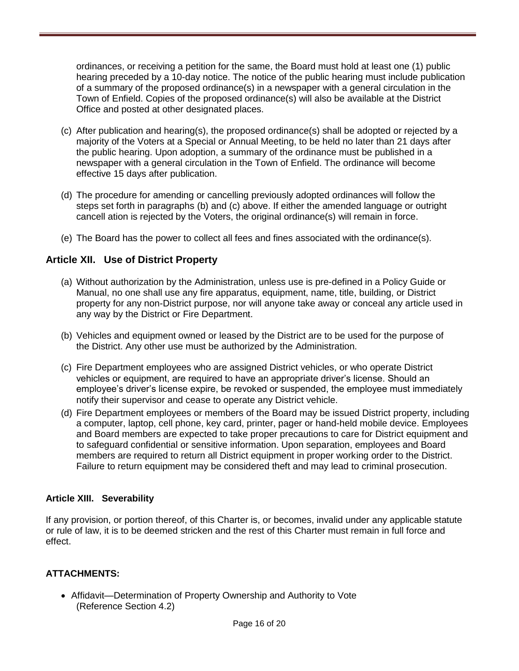ordinances, or receiving a petition for the same, the Board must hold at least one (1) public hearing preceded by a 10-day notice. The notice of the public hearing must include publication of a summary of the proposed ordinance(s) in a newspaper with a general circulation in the Town of Enfield. Copies of the proposed ordinance(s) will also be available at the District Office and posted at other designated places.

- (c) After publication and hearing(s), the proposed ordinance(s) shall be adopted or rejected by a majority of the Voters at a Special or Annual Meeting, to be held no later than 21 days after the public hearing. Upon adoption, a summary of the ordinance must be published in a newspaper with a general circulation in the Town of Enfield. The ordinance will become effective 15 days after publication.
- (d) The procedure for amending or cancelling previously adopted ordinances will follow the steps set forth in paragraphs (b) and (c) above. If either the amended language or outright cancell ation is rejected by the Voters, the original ordinance(s) will remain in force.
- (e) The Board has the power to collect all fees and fines associated with the ordinance(s).

## **Article XII. Use of District Property**

- (a) Without authorization by the Administration, unless use is pre-defined in a Policy Guide or Manual, no one shall use any fire apparatus, equipment, name, title, building, or District property for any non-District purpose, nor will anyone take away or conceal any article used in any way by the District or Fire Department.
- (b) Vehicles and equipment owned or leased by the District are to be used for the purpose of the District. Any other use must be authorized by the Administration.
- (c) Fire Department employees who are assigned District vehicles, or who operate District vehicles or equipment, are required to have an appropriate driver's license. Should an employee's driver's license expire, be revoked or suspended, the employee must immediately notify their supervisor and cease to operate any District vehicle.
- (d) Fire Department employees or members of the Board may be issued District property, including a computer, laptop, cell phone, key card, printer, pager or hand-held mobile device. Employees and Board members are expected to take proper precautions to care for District equipment and to safeguard confidential or sensitive information. Upon separation, employees and Board members are required to return all District equipment in proper working order to the District. Failure to return equipment may be considered theft and may lead to criminal prosecution.

#### **Article XIII. Severability**

If any provision, or portion thereof, of this Charter is, or becomes, invalid under any applicable statute or rule of law, it is to be deemed stricken and the rest of this Charter must remain in full force and effect.

## **ATTACHMENTS:**

• Affidavit—Determination of Property Ownership and Authority to Vote (Reference Section 4.2)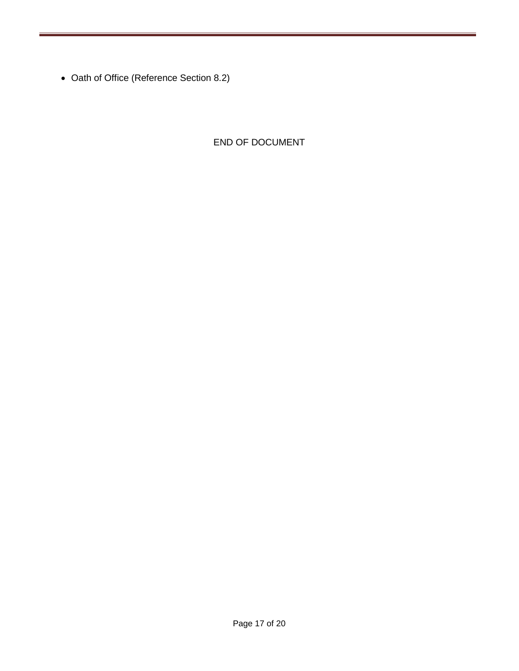• Oath of Office (Reference Section 8.2)

END OF DOCUMENT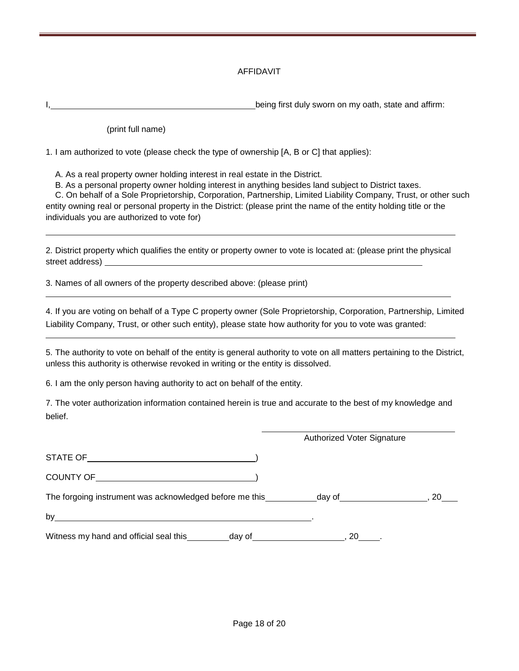#### AFFIDAVIT

being first duly sworn on my oath, state and affirm:

(print full name)

1. I am authorized to vote (please check the type of ownership [A, B or C] that applies):

A. As a real property owner holding interest in real estate in the District.

B. As a personal property owner holding interest in anything besides land subject to District taxes.

C. On behalf of a Sole Proprietorship, Corporation, Partnership, Limited Liability Company, Trust, or other such entity owning real or personal property in the District: (please print the name of the entity holding title or the individuals you are authorized to vote for)

2. District property which qualifies the entity or property owner to vote is located at: (please print the physical street address)

3. Names of all owners of the property described above: (please print)

4. If you are voting on behalf of a Type C property owner (Sole Proprietorship, Corporation, Partnership, Limited Liability Company, Trust, or other such entity), please state how authority for you to vote was granted:

5. The authority to vote on behalf of the entity is general authority to vote on all matters pertaining to the District, unless this authority is otherwise revoked in writing or the entity is dissolved.

6. I am the only person having authority to act on behalf of the entity.

7. The voter authorization information contained herein is true and accurate to the best of my knowledge and belief.

|                                                                                   | Authorized Voter Signature |
|-----------------------------------------------------------------------------------|----------------------------|
|                                                                                   |                            |
|                                                                                   |                            |
| The forgoing instrument was acknowledged before me this _________________________ | 20                         |
| by<br><u> 1989 - John Stein, Amerikaansk politiker (* 1989)</u>                   |                            |
|                                                                                   | $.20$ .                    |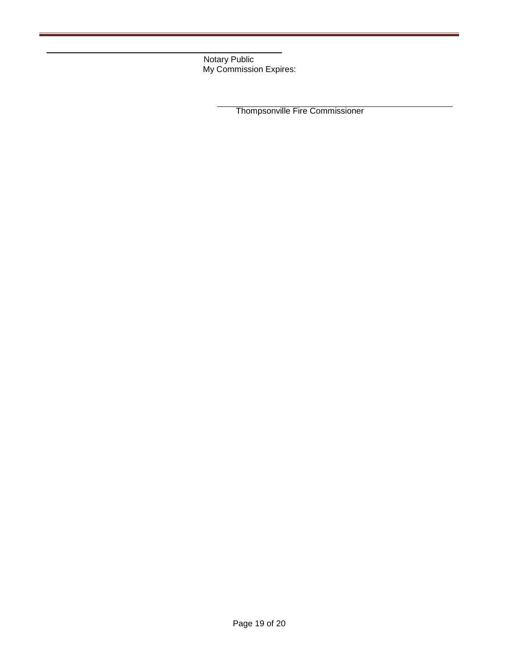Notary Public My Commission Expires:

Thompsonville Fire Commissioner